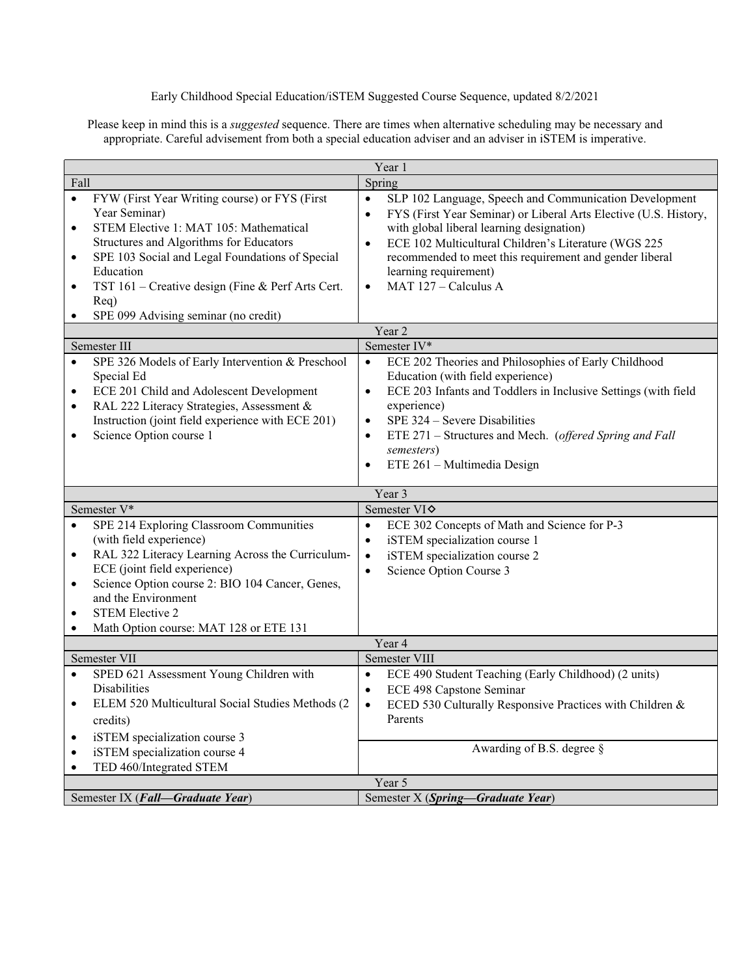Early Childhood Special Education/iSTEM Suggested Course Sequence, updated 8/2/2021

Please keep in mind this is a *suggested* sequence. There are times when alternative scheduling may be necessary and appropriate. Careful advisement from both a special education adviser and an adviser in iSTEM is imperative.

| Year 1                                                        |                                                                                                                                                                                                                                                                                                      |                                                                                                                                                                                                                                                                                                                                                                                                 |  |  |  |
|---------------------------------------------------------------|------------------------------------------------------------------------------------------------------------------------------------------------------------------------------------------------------------------------------------------------------------------------------------------------------|-------------------------------------------------------------------------------------------------------------------------------------------------------------------------------------------------------------------------------------------------------------------------------------------------------------------------------------------------------------------------------------------------|--|--|--|
| Fall                                                          |                                                                                                                                                                                                                                                                                                      | Spring                                                                                                                                                                                                                                                                                                                                                                                          |  |  |  |
| $\bullet$<br>$\bullet$<br>$\bullet$<br>$\bullet$              | FYW (First Year Writing course) or FYS (First<br>Year Seminar)<br>STEM Elective 1: MAT 105: Mathematical<br>Structures and Algorithms for Educators<br>SPE 103 Social and Legal Foundations of Special<br>Education<br>TST 161 – Creative design (Fine & Perf Arts Cert.<br>Req)                     | SLP 102 Language, Speech and Communication Development<br>$\bullet$<br>FYS (First Year Seminar) or Liberal Arts Elective (U.S. History,<br>$\bullet$<br>with global liberal learning designation)<br>ECE 102 Multicultural Children's Literature (WGS 225<br>$\bullet$<br>recommended to meet this requirement and gender liberal<br>learning requirement)<br>MAT 127 - Calculus A<br>$\bullet$ |  |  |  |
| $\bullet$                                                     | SPE 099 Advising seminar (no credit)                                                                                                                                                                                                                                                                 |                                                                                                                                                                                                                                                                                                                                                                                                 |  |  |  |
| Year 2                                                        |                                                                                                                                                                                                                                                                                                      |                                                                                                                                                                                                                                                                                                                                                                                                 |  |  |  |
|                                                               | Semester III                                                                                                                                                                                                                                                                                         | Semester IV*                                                                                                                                                                                                                                                                                                                                                                                    |  |  |  |
| $\bullet$<br>$\bullet$<br>$\bullet$<br>٠                      | SPE 326 Models of Early Intervention & Preschool<br>Special Ed<br>ECE 201 Child and Adolescent Development<br>RAL 222 Literacy Strategies, Assessment &<br>Instruction (joint field experience with ECE 201)<br>Science Option course 1                                                              | $\bullet$<br>ECE 202 Theories and Philosophies of Early Childhood<br>Education (with field experience)<br>ECE 203 Infants and Toddlers in Inclusive Settings (with field<br>$\bullet$<br>experience)<br>SPE 324 - Severe Disabilities<br>$\bullet$<br>ETE 271 – Structures and Mech. (offered Spring and Fall<br>$\bullet$<br>semesters)<br>ETE 261 - Multimedia Design<br>$\bullet$            |  |  |  |
|                                                               |                                                                                                                                                                                                                                                                                                      | Year 3                                                                                                                                                                                                                                                                                                                                                                                          |  |  |  |
|                                                               | Semester V*                                                                                                                                                                                                                                                                                          | Semester VI <sup><math>\diamond</math></sup>                                                                                                                                                                                                                                                                                                                                                    |  |  |  |
| $\bullet$<br>$\bullet$<br>$\bullet$<br>$\bullet$<br>$\bullet$ | SPE 214 Exploring Classroom Communities<br>(with field experience)<br>RAL 322 Literacy Learning Across the Curriculum-<br>ECE (joint field experience)<br>Science Option course 2: BIO 104 Cancer, Genes,<br>and the Environment<br><b>STEM Elective 2</b><br>Math Option course: MAT 128 or ETE 131 | ECE 302 Concepts of Math and Science for P-3<br>$\bullet$<br>iSTEM specialization course 1<br>$\bullet$<br>iSTEM specialization course 2<br>$\bullet$<br>Science Option Course 3<br>$\bullet$                                                                                                                                                                                                   |  |  |  |
|                                                               | Year 4                                                                                                                                                                                                                                                                                               |                                                                                                                                                                                                                                                                                                                                                                                                 |  |  |  |
|                                                               | Semester VII                                                                                                                                                                                                                                                                                         | Semester VIII                                                                                                                                                                                                                                                                                                                                                                                   |  |  |  |
| $\bullet$                                                     | SPED 621 Assessment Young Children with                                                                                                                                                                                                                                                              | ECE 490 Student Teaching (Early Childhood) (2 units)<br>$\bullet$                                                                                                                                                                                                                                                                                                                               |  |  |  |
| ٠<br>$\bullet$<br>$\bullet$                                   | Disabilities<br>ELEM 520 Multicultural Social Studies Methods (2<br>credits)<br>iSTEM specialization course 3<br>iSTEM specialization course 4                                                                                                                                                       | ECE 498 Capstone Seminar<br>$\bullet$<br>ECED 530 Culturally Responsive Practices with Children &<br>$\bullet$<br>Parents<br>Awarding of B.S. degree $\frac{1}{2}$                                                                                                                                                                                                                              |  |  |  |
| $\bullet$                                                     | TED 460/Integrated STEM                                                                                                                                                                                                                                                                              |                                                                                                                                                                                                                                                                                                                                                                                                 |  |  |  |
|                                                               | Semester IX (Fall-Graduate Year)                                                                                                                                                                                                                                                                     | Year 5<br>Semester X (Spring-Graduate Year)                                                                                                                                                                                                                                                                                                                                                     |  |  |  |